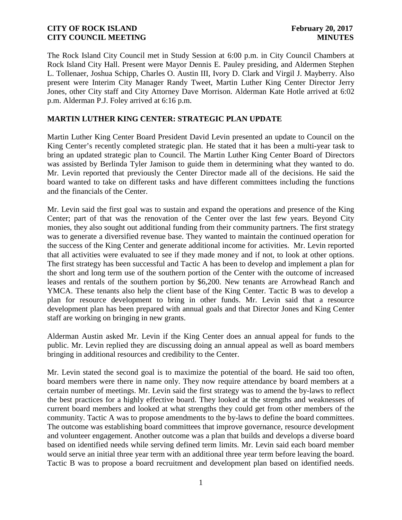The Rock Island City Council met in Study Session at 6:00 p.m. in City Council Chambers at Rock Island City Hall. Present were Mayor Dennis E. Pauley presiding, and Aldermen Stephen L. Tollenaer, Joshua Schipp, Charles O. Austin III, Ivory D. Clark and Virgil J. Mayberry. Also present were Interim City Manager Randy Tweet, Martin Luther King Center Director Jerry Jones, other City staff and City Attorney Dave Morrison. Alderman Kate Hotle arrived at 6:02 p.m. Alderman P.J. Foley arrived at 6:16 p.m.

## **MARTIN LUTHER KING CENTER: STRATEGIC PLAN UPDATE**

Martin Luther King Center Board President David Levin presented an update to Council on the King Center's recently completed strategic plan. He stated that it has been a multi-year task to bring an updated strategic plan to Council. The Martin Luther King Center Board of Directors was assisted by Berlinda Tyler Jamison to guide them in determining what they wanted to do. Mr. Levin reported that previously the Center Director made all of the decisions. He said the board wanted to take on different tasks and have different committees including the functions and the financials of the Center.

Mr. Levin said the first goal was to sustain and expand the operations and presence of the King Center; part of that was the renovation of the Center over the last few years. Beyond City monies, they also sought out additional funding from their community partners. The first strategy was to generate a diversified revenue base. They wanted to maintain the continued operation for the success of the King Center and generate additional income for activities. Mr. Levin reported that all activities were evaluated to see if they made money and if not, to look at other options. The first strategy has been successful and Tactic A has been to develop and implement a plan for the short and long term use of the southern portion of the Center with the outcome of increased leases and rentals of the southern portion by \$6,200. New tenants are Arrowhead Ranch and YMCA. These tenants also help the client base of the King Center. Tactic B was to develop a plan for resource development to bring in other funds. Mr. Levin said that a resource development plan has been prepared with annual goals and that Director Jones and King Center staff are working on bringing in new grants.

Alderman Austin asked Mr. Levin if the King Center does an annual appeal for funds to the public. Mr. Levin replied they are discussing doing an annual appeal as well as board members bringing in additional resources and credibility to the Center.

Mr. Levin stated the second goal is to maximize the potential of the board. He said too often, board members were there in name only. They now require attendance by board members at a certain number of meetings. Mr. Levin said the first strategy was to amend the by-laws to reflect the best practices for a highly effective board. They looked at the strengths and weaknesses of current board members and looked at what strengths they could get from other members of the community. Tactic A was to propose amendments to the by-laws to define the board committees. The outcome was establishing board committees that improve governance, resource development and volunteer engagement. Another outcome was a plan that builds and develops a diverse board based on identified needs while serving defined term limits. Mr. Levin said each board member would serve an initial three year term with an additional three year term before leaving the board. Tactic B was to propose a board recruitment and development plan based on identified needs.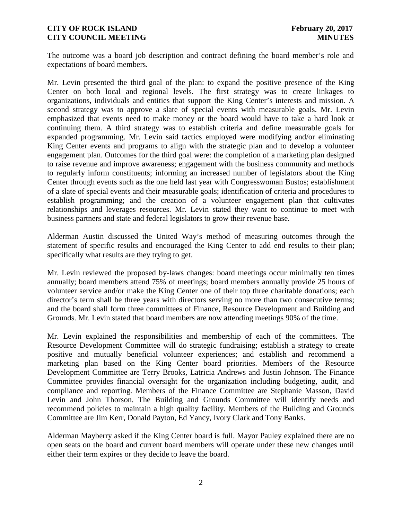The outcome was a board job description and contract defining the board member's role and expectations of board members.

Mr. Levin presented the third goal of the plan: to expand the positive presence of the King Center on both local and regional levels. The first strategy was to create linkages to organizations, individuals and entities that support the King Center's interests and mission. A second strategy was to approve a slate of special events with measurable goals. Mr. Levin emphasized that events need to make money or the board would have to take a hard look at continuing them. A third strategy was to establish criteria and define measurable goals for expanded programming. Mr. Levin said tactics employed were modifying and/or eliminating King Center events and programs to align with the strategic plan and to develop a volunteer engagement plan. Outcomes for the third goal were: the completion of a marketing plan designed to raise revenue and improve awareness; engagement with the business community and methods to regularly inform constituents; informing an increased number of legislators about the King Center through events such as the one held last year with Congresswoman Bustos; establishment of a slate of special events and their measurable goals; identification of criteria and procedures to establish programming; and the creation of a volunteer engagement plan that cultivates relationships and leverages resources. Mr. Levin stated they want to continue to meet with business partners and state and federal legislators to grow their revenue base.

Alderman Austin discussed the United Way's method of measuring outcomes through the statement of specific results and encouraged the King Center to add end results to their plan; specifically what results are they trying to get.

Mr. Levin reviewed the proposed by-laws changes: board meetings occur minimally ten times annually; board members attend 75% of meetings; board members annually provide 25 hours of volunteer service and/or make the King Center one of their top three charitable donations; each director's term shall be three years with directors serving no more than two consecutive terms; and the board shall form three committees of Finance, Resource Development and Building and Grounds. Mr. Levin stated that board members are now attending meetings 90% of the time.

Mr. Levin explained the responsibilities and membership of each of the committees. The Resource Development Committee will do strategic fundraising; establish a strategy to create positive and mutually beneficial volunteer experiences; and establish and recommend a marketing plan based on the King Center board priorities. Members of the Resource Development Committee are Terry Brooks, Latricia Andrews and Justin Johnson. The Finance Committee provides financial oversight for the organization including budgeting, audit, and compliance and reporting. Members of the Finance Committee are Stephanie Masson, David Levin and John Thorson. The Building and Grounds Committee will identify needs and recommend policies to maintain a high quality facility. Members of the Building and Grounds Committee are Jim Kerr, Donald Payton, Ed Yancy, Ivory Clark and Tony Banks.

Alderman Mayberry asked if the King Center board is full. Mayor Pauley explained there are no open seats on the board and current board members will operate under these new changes until either their term expires or they decide to leave the board.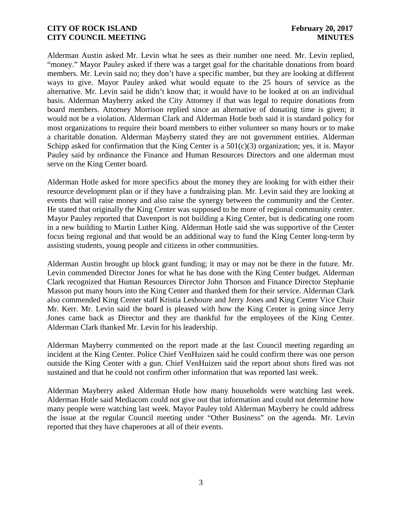Alderman Austin asked Mr. Levin what he sees as their number one need. Mr. Levin replied, "money." Mayor Pauley asked if there was a target goal for the charitable donations from board members. Mr. Levin said no; they don't have a specific number, but they are looking at different ways to give. Mayor Pauley asked what would equate to the 25 hours of service as the alternative. Mr. Levin said he didn't know that; it would have to be looked at on an individual basis. Alderman Mayberry asked the City Attorney if that was legal to require donations from board members. Attorney Morrison replied since an alternative of donating time is given; it would not be a violation. Alderman Clark and Alderman Hotle both said it is standard policy for most organizations to require their board members to either volunteer so many hours or to make a charitable donation. Alderman Mayberry stated they are not government entities. Alderman Schipp asked for confirmation that the King Center is a  $501(c)(3)$  organization; yes, it is. Mayor Pauley said by ordinance the Finance and Human Resources Directors and one alderman must serve on the King Center board.

Alderman Hotle asked for more specifics about the money they are looking for with either their resource development plan or if they have a fundraising plan. Mr. Levin said they are looking at events that will raise money and also raise the synergy between the community and the Center. He stated that originally the King Center was supposed to be more of regional community center. Mayor Pauley reported that Davenport is not building a King Center, but is dedicating one room in a new building to Martin Luther King. Alderman Hotle said she was supportive of the Center focus being regional and that would be an additional way to fund the King Center long-term by assisting students, young people and citizens in other communities.

Alderman Austin brought up block grant funding; it may or may not be there in the future. Mr. Levin commended Director Jones for what he has done with the King Center budget. Alderman Clark recognized that Human Resources Director John Thorson and Finance Director Stephanie Masson put many hours into the King Center and thanked them for their service. Alderman Clark also commended King Center staff Kristia Leshoure and Jerry Jones and King Center Vice Chair Mr. Kerr. Mr. Levin said the board is pleased with how the King Center is going since Jerry Jones came back as Director and they are thankful for the employees of the King Center. Alderman Clark thanked Mr. Levin for his leadership.

Alderman Mayberry commented on the report made at the last Council meeting regarding an incident at the King Center. Police Chief VenHuizen said he could confirm there was one person outside the King Center with a gun. Chief VenHuizen said the report about shots fired was not sustained and that he could not confirm other information that was reported last week.

Alderman Mayberry asked Alderman Hotle how many households were watching last week. Alderman Hotle said Mediacom could not give out that information and could not determine how many people were watching last week. Mayor Pauley told Alderman Mayberry he could address the issue at the regular Council meeting under "Other Business" on the agenda. Mr. Levin reported that they have chaperones at all of their events.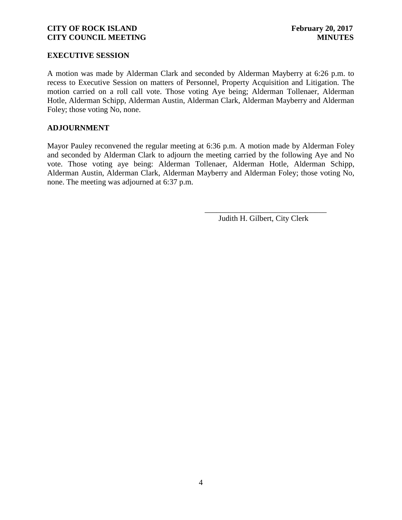#### **EXECUTIVE SESSION**

A motion was made by Alderman Clark and seconded by Alderman Mayberry at 6:26 p.m. to recess to Executive Session on matters of Personnel, Property Acquisition and Litigation. The motion carried on a roll call vote. Those voting Aye being; Alderman Tollenaer, Alderman Hotle, Alderman Schipp, Alderman Austin, Alderman Clark, Alderman Mayberry and Alderman Foley; those voting No, none.

#### **ADJOURNMENT**

Mayor Pauley reconvened the regular meeting at 6:36 p.m. A motion made by Alderman Foley and seconded by Alderman Clark to adjourn the meeting carried by the following Aye and No vote. Those voting aye being: Alderman Tollenaer, Alderman Hotle, Alderman Schipp, Alderman Austin, Alderman Clark, Alderman Mayberry and Alderman Foley; those voting No, none. The meeting was adjourned at 6:37 p.m.

Judith H. Gilbert, City Clerk

\_\_\_\_\_\_\_\_\_\_\_\_\_\_\_\_\_\_\_\_\_\_\_\_\_\_\_\_\_\_\_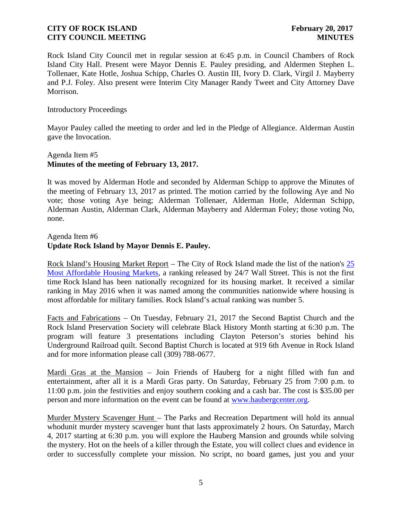Rock Island City Council met in regular session at 6:45 p.m. in Council Chambers of Rock Island City Hall. Present were Mayor Dennis E. Pauley presiding, and Aldermen Stephen L. Tollenaer, Kate Hotle, Joshua Schipp, Charles O. Austin III, Ivory D. Clark, Virgil J. Mayberry and P.J. Foley. Also present were Interim City Manager Randy Tweet and City Attorney Dave Morrison.

Introductory Proceedings

Mayor Pauley called the meeting to order and led in the Pledge of Allegiance. Alderman Austin gave the Invocation.

# Agenda Item #5 **Minutes of the meeting of February 13, 2017.**

It was moved by Alderman Hotle and seconded by Alderman Schipp to approve the Minutes of the meeting of February 13, 2017 as printed. The motion carried by the following Aye and No vote; those voting Aye being; Alderman Tollenaer, Alderman Hotle, Alderman Schipp, Alderman Austin, Alderman Clark, Alderman Mayberry and Alderman Foley; those voting No, none.

## Agenda Item #6 **Update Rock Island by Mayor Dennis E. Pauley.**

Rock Island's Housing Market Report – The City of Rock Island made the list of the nation's 25 Most Affordable Housing Markets, a ranking released by 24/7 Wall Street. This is not the first time Rock Island has been nationally recognized for its housing market. It received a similar ranking in May 2016 when it was named among the communities nationwide where housing is most affordable for military families. Rock Island's actual ranking was number 5.

Facts and Fabrications – On Tuesday, February 21, 2017 the Second Baptist Church and the Rock Island Preservation Society will celebrate Black History Month starting at 6:30 p.m. The program will feature 3 presentations including Clayton Peterson's stories behind his Underground Railroad quilt. Second Baptist Church is located at 919 6th Avenue in Rock Island and for more information please call (309) 788-0677.

Mardi Gras at the Mansion – Join Friends of Hauberg for a night filled with fun and entertainment, after all it is a Mardi Gras party. On Saturday, February 25 from 7:00 p.m. to 11:00 p.m. join the festivities and enjoy southern cooking and a cash bar. The cost is \$35.00 per person and more information on the event can be found at www.haubergcenter.org.

Murder Mystery Scavenger Hunt – The Parks and Recreation Department will hold its annual whodunit murder mystery scavenger hunt that lasts approximately 2 hours. On Saturday, March 4, 2017 starting at 6:30 p.m. you will explore the Hauberg Mansion and grounds while solving the mystery. Hot on the heels of a killer through the Estate, you will collect clues and evidence in order to successfully complete your mission. No script, no board games, just you and your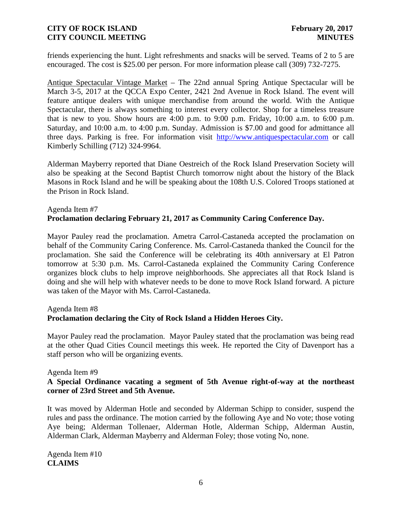friends experiencing the hunt. Light refreshments and snacks will be served. Teams of 2 to 5 are encouraged. The cost is \$25.00 per person. For more information please call (309) 732-7275.

Antique Spectacular Vintage Market – The 22nd annual Spring Antique Spectacular will be March 3-5, 2017 at the QCCA Expo Center, 2421 2nd Avenue in Rock Island. The event will feature antique dealers with unique merchandise from around the world. With the Antique Spectacular, there is always something to interest every collector. Shop for a timeless treasure that is new to you. Show hours are  $4:00$  p.m. to  $9:00$  p.m. Friday,  $10:00$  a.m. to  $6:00$  p.m. Saturday, and 10:00 a.m. to 4:00 p.m. Sunday. Admission is \$7.00 and good for admittance all three days. Parking is free. For information visit http://www.antiquespectacular.com or call Kimberly Schilling (712) 324-9964.

Alderman Mayberry reported that Diane Oestreich of the Rock Island Preservation Society will also be speaking at the Second Baptist Church tomorrow night about the history of the Black Masons in Rock Island and he will be speaking about the 108th U.S. Colored Troops stationed at the Prison in Rock Island.

# Agenda Item #7 **Proclamation declaring February 21, 2017 as Community Caring Conference Day.**

Mayor Pauley read the proclamation. Ametra Carrol-Castaneda accepted the proclamation on behalf of the Community Caring Conference. Ms. Carrol-Castaneda thanked the Council for the proclamation. She said the Conference will be celebrating its 40th anniversary at El Patron tomorrow at 5:30 p.m. Ms. Carrol-Castaneda explained the Community Caring Conference organizes block clubs to help improve neighborhoods. She appreciates all that Rock Island is doing and she will help with whatever needs to be done to move Rock Island forward. A picture was taken of the Mayor with Ms. Carrol-Castaneda.

#### Agenda Item #8

# **Proclamation declaring the City of Rock Island a Hidden Heroes City.**

Mayor Pauley read the proclamation. Mayor Pauley stated that the proclamation was being read at the other Quad Cities Council meetings this week. He reported the City of Davenport has a staff person who will be organizing events.

#### Agenda Item #9

## **A Special Ordinance vacating a segment of 5th Avenue right-of-way at the northeast corner of 23rd Street and 5th Avenue.**

It was moved by Alderman Hotle and seconded by Alderman Schipp to consider, suspend the rules and pass the ordinance. The motion carried by the following Aye and No vote; those voting Aye being; Alderman Tollenaer, Alderman Hotle, Alderman Schipp, Alderman Austin, Alderman Clark, Alderman Mayberry and Alderman Foley; those voting No, none.

Agenda Item #10 **CLAIMS**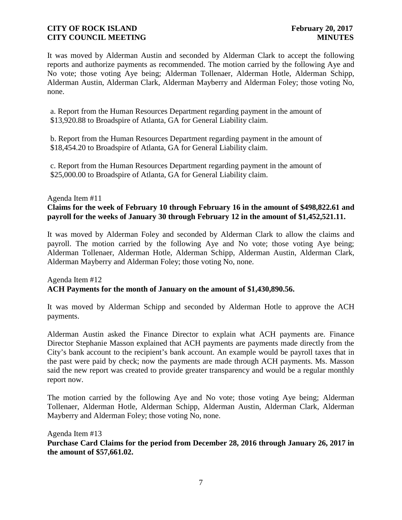It was moved by Alderman Austin and seconded by Alderman Clark to accept the following reports and authorize payments as recommended. The motion carried by the following Aye and No vote; those voting Aye being; Alderman Tollenaer, Alderman Hotle, Alderman Schipp, Alderman Austin, Alderman Clark, Alderman Mayberry and Alderman Foley; those voting No, none.

a. Report from the Human Resources Department regarding payment in the amount of \$13,920.88 to Broadspire of Atlanta, GA for General Liability claim.

b. Report from the Human Resources Department regarding payment in the amount of \$18,454.20 to Broadspire of Atlanta, GA for General Liability claim.

c. Report from the Human Resources Department regarding payment in the amount of \$25,000.00 to Broadspire of Atlanta, GA for General Liability claim.

#### Agenda Item #11

## **Claims for the week of February 10 through February 16 in the amount of \$498,822.61 and payroll for the weeks of January 30 through February 12 in the amount of \$1,452,521.11.**

It was moved by Alderman Foley and seconded by Alderman Clark to allow the claims and payroll. The motion carried by the following Aye and No vote; those voting Aye being; Alderman Tollenaer, Alderman Hotle, Alderman Schipp, Alderman Austin, Alderman Clark, Alderman Mayberry and Alderman Foley; those voting No, none.

## Agenda Item #12 **ACH Payments for the month of January on the amount of \$1,430,890.56.**

It was moved by Alderman Schipp and seconded by Alderman Hotle to approve the ACH payments.

Alderman Austin asked the Finance Director to explain what ACH payments are. Finance Director Stephanie Masson explained that ACH payments are payments made directly from the City's bank account to the recipient's bank account. An example would be payroll taxes that in the past were paid by check; now the payments are made through ACH payments. Ms. Masson said the new report was created to provide greater transparency and would be a regular monthly report now.

The motion carried by the following Aye and No vote; those voting Aye being; Alderman Tollenaer, Alderman Hotle, Alderman Schipp, Alderman Austin, Alderman Clark, Alderman Mayberry and Alderman Foley; those voting No, none.

Agenda Item #13 **Purchase Card Claims for the period from December 28, 2016 through January 26, 2017 in the amount of \$57,661.02.**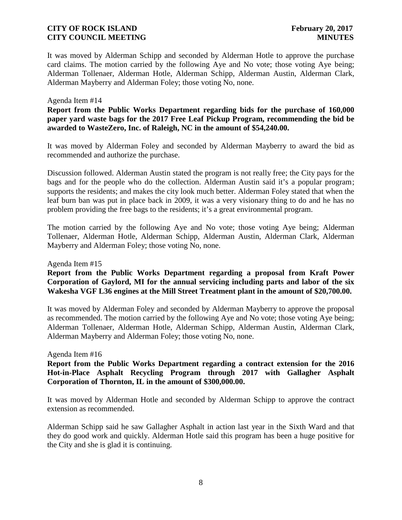It was moved by Alderman Schipp and seconded by Alderman Hotle to approve the purchase card claims. The motion carried by the following Aye and No vote; those voting Aye being; Alderman Tollenaer, Alderman Hotle, Alderman Schipp, Alderman Austin, Alderman Clark, Alderman Mayberry and Alderman Foley; those voting No, none.

#### Agenda Item #14

**Report from the Public Works Department regarding bids for the purchase of 160,000 paper yard waste bags for the 2017 Free Leaf Pickup Program, recommending the bid be awarded to WasteZero, Inc. of Raleigh, NC in the amount of \$54,240.00.**

It was moved by Alderman Foley and seconded by Alderman Mayberry to award the bid as recommended and authorize the purchase.

Discussion followed. Alderman Austin stated the program is not really free; the City pays for the bags and for the people who do the collection. Alderman Austin said it's a popular program; supports the residents; and makes the city look much better. Alderman Foley stated that when the leaf burn ban was put in place back in 2009, it was a very visionary thing to do and he has no problem providing the free bags to the residents; it's a great environmental program.

The motion carried by the following Aye and No vote; those voting Aye being; Alderman Tollenaer, Alderman Hotle, Alderman Schipp, Alderman Austin, Alderman Clark, Alderman Mayberry and Alderman Foley; those voting No, none.

Agenda Item #15

**Report from the Public Works Department regarding a proposal from Kraft Power Corporation of Gaylord, MI for the annual servicing including parts and labor of the six Wakesha VGF L36 engines at the Mill Street Treatment plant in the amount of \$20,700.00.**

It was moved by Alderman Foley and seconded by Alderman Mayberry to approve the proposal as recommended. The motion carried by the following Aye and No vote; those voting Aye being; Alderman Tollenaer, Alderman Hotle, Alderman Schipp, Alderman Austin, Alderman Clark, Alderman Mayberry and Alderman Foley; those voting No, none.

#### Agenda Item #16

**Report from the Public Works Department regarding a contract extension for the 2016 Hot-in-Place Asphalt Recycling Program through 2017 with Gallagher Asphalt Corporation of Thornton, IL in the amount of \$300,000.00.**

It was moved by Alderman Hotle and seconded by Alderman Schipp to approve the contract extension as recommended.

Alderman Schipp said he saw Gallagher Asphalt in action last year in the Sixth Ward and that they do good work and quickly. Alderman Hotle said this program has been a huge positive for the City and she is glad it is continuing.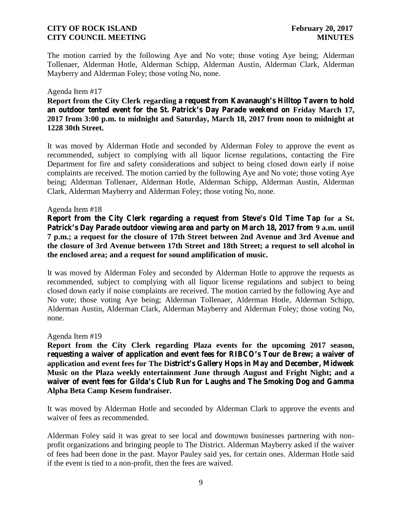The motion carried by the following Aye and No vote; those voting Aye being; Alderman Tollenaer, Alderman Hotle, Alderman Schipp, Alderman Austin, Alderman Clark, Alderman Mayberry and Alderman Foley; those voting No, none.

#### Agenda Item #17

**Report from the City Clerk regarding a request from Kavanaugh's Hilltop Tavern to hold an outdoor tented event for the St. Patrick's Day Parade weekend on Friday March 17, 2017 from 3:00 p.m. to midnight and Saturday, March 18, 2017 from noon to midnight at 1228 30th Street.**

It was moved by Alderman Hotle and seconded by Alderman Foley to approve the event as recommended, subject to complying with all liquor license regulations, contacting the Fire Department for fire and safety considerations and subject to being closed down early if noise complaints are received. The motion carried by the following Aye and No vote; those voting Aye being; Alderman Tollenaer, Alderman Hotle, Alderman Schipp, Alderman Austin, Alderman Clark, Alderman Mayberry and Alderman Foley; those voting No, none.

#### Agenda Item #18

**Report from the City Clerk regarding a request from Steve's Old Time Tap for a St. Patrick's Day Parade outdoor viewing area and party on March 18, 2017 from 9 a.m. until 7 p.m.; a request for the closure of 17th Street between 2nd Avenue and 3rd Avenue and the closure of 3rd Avenue between 17th Street and 18th Street; a request to sell alcohol in the enclosed area; and a request for sound amplification of music.**

It was moved by Alderman Foley and seconded by Alderman Hotle to approve the requests as recommended, subject to complying with all liquor license regulations and subject to being closed down early if noise complaints are received. The motion carried by the following Aye and No vote; those voting Aye being; Alderman Tollenaer, Alderman Hotle, Alderman Schipp, Alderman Austin, Alderman Clark, Alderman Mayberry and Alderman Foley; those voting No, none.

#### Agenda Item #19

**Report from the City Clerk regarding Plaza events for the upcoming 2017 season, requesting a waiver of application and event fees for RIBCO's Tour de Brew; a waiver of application and event fees for The District's Gallery Hops in May and December, Midweek Music on the Plaza weekly entertainment June through August and Fright Night; and a waiver of event fees for Gilda's Club Run for Laughs and The Smoking Dog and Gamma Alpha Beta Camp Kesem fundraiser.**

It was moved by Alderman Hotle and seconded by Alderman Clark to approve the events and waiver of fees as recommended.

Alderman Foley said it was great to see local and downtown businesses partnering with non profit organizations and bringing people to The District. Alderman Mayberry asked if the waiver of fees had been done in the past. Mayor Pauley said yes, for certain ones. Alderman Hotle said if the event is tied to a non-profit, then the fees are waived.